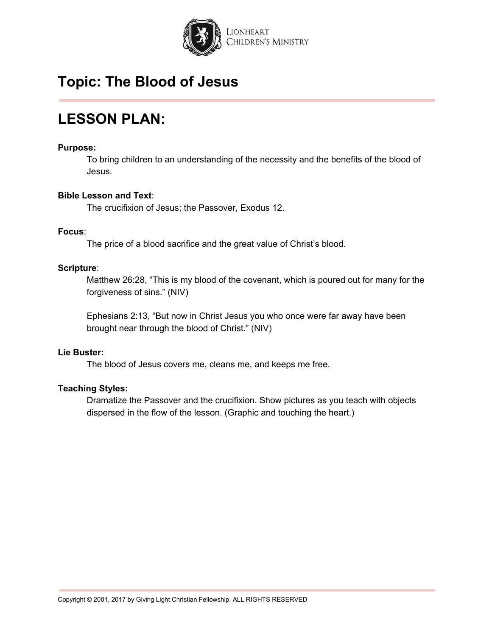

# **LESSON PLAN:**

#### **Purpose:**

To bring children to an understanding of the necessity and the benefits of the blood of Jesus.

#### **Bible Lesson and Text**:

The crucifixion of Jesus; the Passover, Exodus 12.

#### **Focus**:

The price of a blood sacrifice and the great value of Christ's blood.

#### **Scripture**:

Matthew 26:28, "This is my blood of the covenant, which is poured out for many for the forgiveness of sins." (NIV)

Ephesians 2:13, "But now in Christ Jesus you who once were far away have been brought near through the blood of Christ." (NIV)

#### **Lie Buster:**

The blood of Jesus covers me, cleans me, and keeps me free.

#### **Teaching Styles:**

Dramatize the Passover and the crucifixion. Show pictures as you teach with objects dispersed in the flow of the lesson. (Graphic and touching the heart.)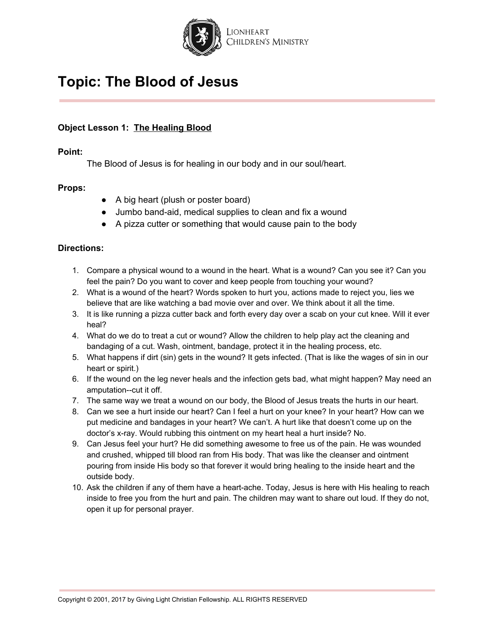

### **Object Lesson 1: The Healing Blood**

#### **Point:**

The Blood of Jesus is for healing in our body and in our soul/heart.

#### **Props:**

- A big heart (plush or poster board)
- Jumbo band-aid, medical supplies to clean and fix a wound
- A pizza cutter or something that would cause pain to the body

#### **Directions:**

- 1. Compare a physical wound to a wound in the heart. What is a wound? Can you see it? Can you feel the pain? Do you want to cover and keep people from touching your wound?
- 2. What is a wound of the heart? Words spoken to hurt you, actions made to reject you, lies we believe that are like watching a bad movie over and over. We think about it all the time.
- 3. It is like running a pizza cutter back and forth every day over a scab on your cut knee. Will it ever heal?
- 4. What do we do to treat a cut or wound? Allow the children to help play act the cleaning and bandaging of a cut. Wash, ointment, bandage, protect it in the healing process, etc.
- 5. What happens if dirt (sin) gets in the wound? It gets infected. (That is like the wages of sin in our heart or spirit.)
- 6. If the wound on the leg never heals and the infection gets bad, what might happen? May need an amputation--cut it off.
- 7. The same way we treat a wound on our body, the Blood of Jesus treats the hurts in our heart.
- 8. Can we see a hurt inside our heart? Can I feel a hurt on your knee? In your heart? How can we put medicine and bandages in your heart? We can't. A hurt like that doesn't come up on the doctor's x-ray. Would rubbing this ointment on my heart heal a hurt inside? No.
- 9. Can Jesus feel your hurt? He did something awesome to free us of the pain. He was wounded and crushed, whipped till blood ran from His body. That was like the cleanser and ointment pouring from inside His body so that forever it would bring healing to the inside heart and the outside body.
- 10. Ask the children if any of them have a heart-ache. Today, Jesus is here with His healing to reach inside to free you from the hurt and pain. The children may want to share out loud. If they do not, open it up for personal prayer.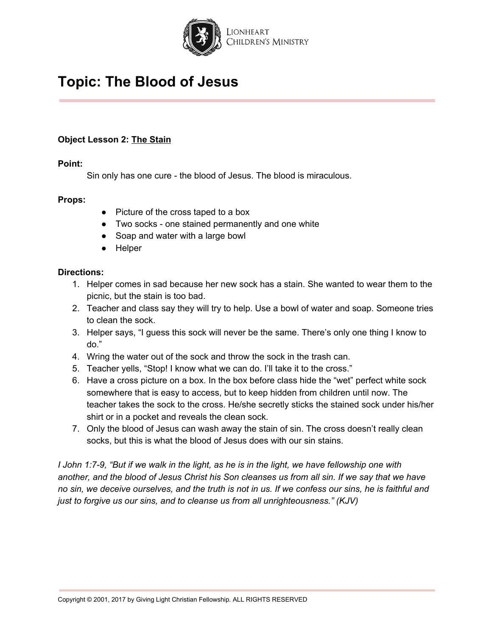

### **Object Lesson 2: The Stain**

#### **Point:**

Sin only has one cure - the blood of Jesus. The blood is miraculous.

#### **Props:**

- Picture of the cross taped to a box
- Two socks one stained permanently and one white
- Soap and water with a large bowl
- Helper

#### **Directions:**

- 1. Helper comes in sad because her new sock has a stain. She wanted to wear them to the picnic, but the stain is too bad.
- 2. Teacher and class say they will try to help. Use a bowl of water and soap. Someone tries to clean the sock.
- 3. Helper says, "I guess this sock will never be the same. There's only one thing I know to do."
- 4. Wring the water out of the sock and throw the sock in the trash can.
- 5. Teacher yells, "Stop! I know what we can do. I'll take it to the cross."
- 6. Have a cross picture on a box. In the box before class hide the "wet" perfect white sock somewhere that is easy to access, but to keep hidden from children until now. The teacher takes the sock to the cross. He/she secretly sticks the stained sock under his/her shirt or in a pocket and reveals the clean sock.
- 7. Only the blood of Jesus can wash away the stain of sin. The cross doesn't really clean socks, but this is what the blood of Jesus does with our sin stains.

I John 1:7-9, "But if we walk in the light, as he is in the light, we have fellowship one with another, and the blood of Jesus Christ his Son cleanses us from all sin. If we say that we have no sin, we deceive ourselves, and the truth is not in us. If we confess our sins, he is faithful and *just to forgive us our sins, and to cleanse us from all unrighteousness." (KJV)*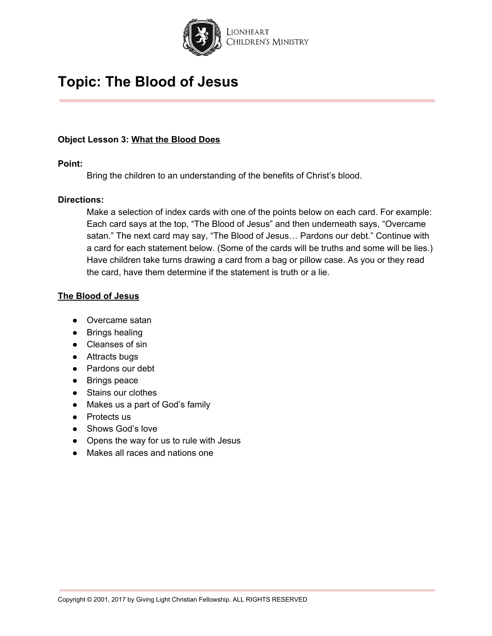

#### **Object Lesson 3: What the Blood Does**

#### **Point:**

Bring the children to an understanding of the benefits of Christ's blood.

#### **Directions:**

Make a selection of index cards with one of the points below on each card. For example: Each card says at the top, "The Blood of Jesus" and then underneath says, "Overcame satan." The next card may say, "The Blood of Jesus… Pardons our debt." Continue with a card for each statement below. (Some of the cards will be truths and some will be lies.) Have children take turns drawing a card from a bag or pillow case. As you or they read the card, have them determine if the statement is truth or a lie.

#### **The Blood of Jesus**

- Overcame satan
- Brings healing
- Cleanses of sin
- Attracts bugs
- Pardons our debt
- Brings peace
- Stains our clothes
- Makes us a part of God's family
- Protects us
- Shows God's love
- Opens the way for us to rule with Jesus
- Makes all races and nations one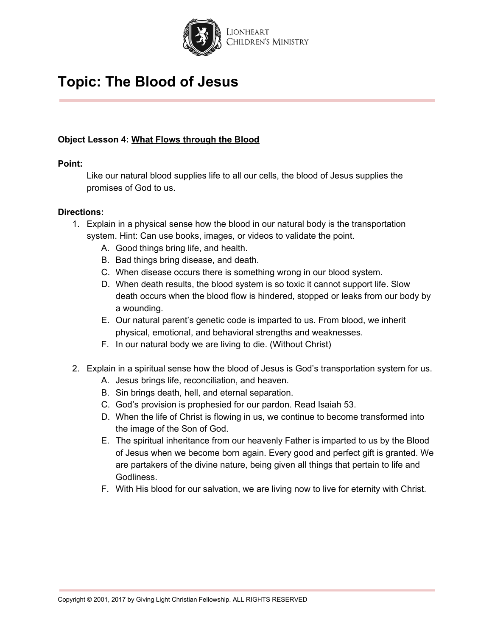

### **Object Lesson 4: What Flows through the Blood**

#### **Point:**

Like our natural blood supplies life to all our cells, the blood of Jesus supplies the promises of God to us.

#### **Directions:**

- 1. Explain in a physical sense how the blood in our natural body is the transportation system. Hint: Can use books, images, or videos to validate the point.
	- A. Good things bring life, and health.
	- B. Bad things bring disease, and death.
	- C. When disease occurs there is something wrong in our blood system.
	- D. When death results, the blood system is so toxic it cannot support life. Slow death occurs when the blood flow is hindered, stopped or leaks from our body by a wounding.
	- E. Our natural parent's genetic code is imparted to us. From blood, we inherit physical, emotional, and behavioral strengths and weaknesses.
	- F. In our natural body we are living to die. (Without Christ)
- 2. Explain in a spiritual sense how the blood of Jesus is God's transportation system for us.
	- A. Jesus brings life, reconciliation, and heaven.
	- B. Sin brings death, hell, and eternal separation.
	- C. God's provision is prophesied for our pardon. Read Isaiah 53.
	- D. When the life of Christ is flowing in us, we continue to become transformed into the image of the Son of God.
	- E. The spiritual inheritance from our heavenly Father is imparted to us by the Blood of Jesus when we become born again. Every good and perfect gift is granted. We are partakers of the divine nature, being given all things that pertain to life and Godliness.
	- F. With His blood for our salvation, we are living now to live for eternity with Christ.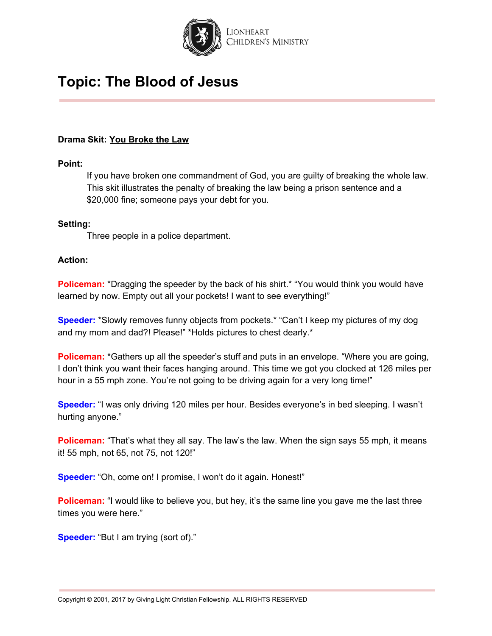

#### **Drama Skit: You Broke the Law**

#### **Point:**

If you have broken one commandment of God, you are guilty of breaking the whole law. This skit illustrates the penalty of breaking the law being a prison sentence and a \$20,000 fine; someone pays your debt for you.

#### **Setting:**

Three people in a police department.

#### **Action:**

**Policeman:** \*Dragging the speeder by the back of his shirt.\* "You would think you would have learned by now. Empty out all your pockets! I want to see everything!"

**Speeder:** \*Slowly removes funny objects from pockets.\* "Can't I keep my pictures of my dog and my mom and dad?! Please!" \*Holds pictures to chest dearly.\*

**Policeman:** \*Gathers up all the speeder's stuff and puts in an envelope. "Where you are going, I don't think you want their faces hanging around. This time we got you clocked at 126 miles per hour in a 55 mph zone. You're not going to be driving again for a very long time!"

**Speeder:** "I was only driving 120 miles per hour. Besides everyone's in bed sleeping. I wasn't hurting anyone."

**Policeman:** "That's what they all say. The law's the law. When the sign says 55 mph, it means it! 55 mph, not 65, not 75, not 120!"

**Speeder:** "Oh, come on! I promise, I won't do it again. Honest!"

**Policeman:** "I would like to believe you, but hey, it's the same line you gave me the last three times you were here."

**Speeder:** "But I am trying (sort of)."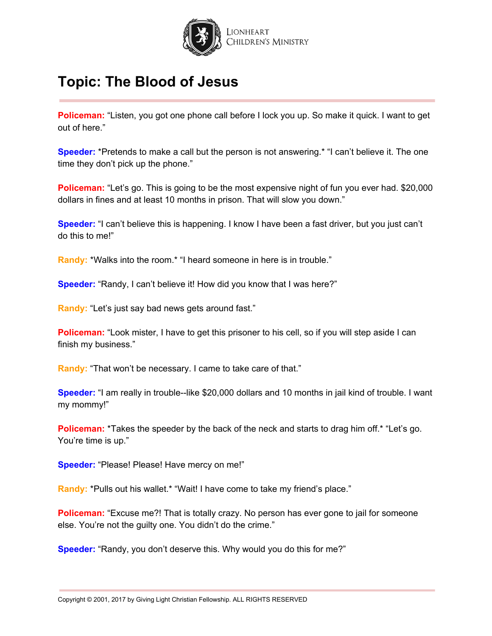

**Policeman:** "Listen, you got one phone call before I lock you up. So make it quick. I want to get out of here."

**Speeder:** \*Pretends to make a call but the person is not answering.\* "I can't believe it. The one time they don't pick up the phone."

**Policeman:** "Let's go. This is going to be the most expensive night of fun you ever had. \$20,000 dollars in fines and at least 10 months in prison. That will slow you down."

**Speeder:** "I can't believe this is happening. I know I have been a fast driver, but you just can't do this to me!"

Randy: \*Walks into the room.\* "I heard someone in here is in trouble."

**Speeder:** "Randy, I can't believe it! How did you know that I was here?"

**Randy:** "Let's just say bad news gets around fast."

**Policeman:** "Look mister, I have to get this prisoner to his cell, so if you will step aside I can finish my business."

**Randy:** "That won't be necessary. I came to take care of that."

**Speeder:** "I am really in trouble--like \$20,000 dollars and 10 months in jail kind of trouble. I want my mommy!"

**Policeman:** \*Takes the speeder by the back of the neck and starts to drag him off. \* "Let's go. You're time is up."

**Speeder:** "Please! Please! Have mercy on me!"

**Randy:** \*Pulls out his wallet.\* "Wait! I have come to take my friend's place."

**Policeman:** "Excuse me?! That is totally crazy. No person has ever gone to jail for someone else. You're not the guilty one. You didn't do the crime."

**Speeder:** "Randy, you don't deserve this. Why would you do this for me?"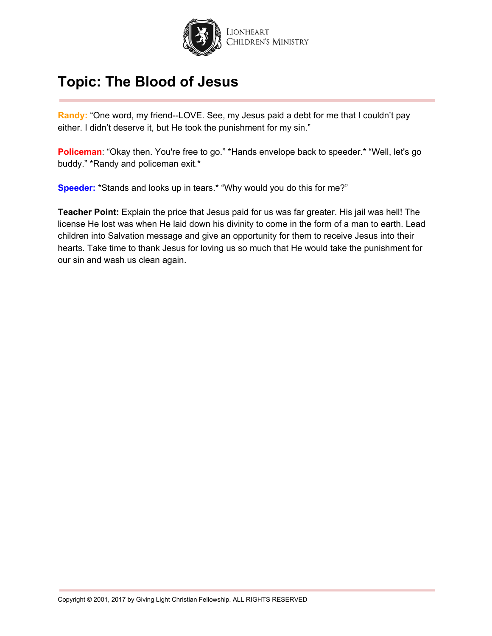

**Randy:** "One word, my friend--LOVE. See, my Jesus paid a debt for me that I couldn't pay either. I didn't deserve it, but He took the punishment for my sin."

**Policeman**: "Okay then. You're free to go." \*Hands envelope back to speeder.\* "Well, let's go buddy." \*Randy and policeman exit.\*

**Speeder:** \*Stands and looks up in tears.\* "Why would you do this for me?"

**Teacher Point:** Explain the price that Jesus paid for us was far greater. His jail was hell! The license He lost was when He laid down his divinity to come in the form of a man to earth. Lead children into Salvation message and give an opportunity for them to receive Jesus into their hearts. Take time to thank Jesus for loving us so much that He would take the punishment for our sin and wash us clean again.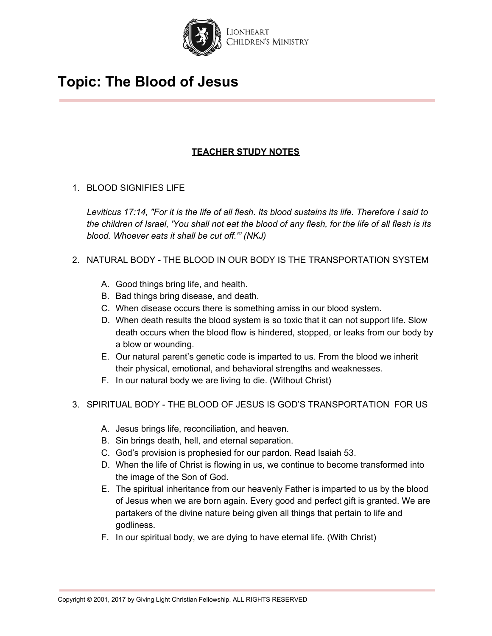

### **TEACHER STUDY NOTES**

### 1. BLOOD SIGNIFIES LIFE

Leviticus 17:14, "For it is the life of all flesh. Its blood sustains its life. Therefore I said to the children of Israel, 'You shall not eat the blood of any flesh, for the life of all flesh is its *blood. Whoever eats it shall be cut off.'" (NKJ)*

### 2. NATURAL BODY - THE BLOOD IN OUR BODY IS THE TRANSPORTATION SYSTEM

- A. Good things bring life, and health.
- B. Bad things bring disease, and death.
- C. When disease occurs there is something amiss in our blood system.
- D. When death results the blood system is so toxic that it can not support life. Slow death occurs when the blood flow is hindered, stopped, or leaks from our body by a blow or wounding.
- E. Our natural parent's genetic code is imparted to us. From the blood we inherit their physical, emotional, and behavioral strengths and weaknesses.
- F. In our natural body we are living to die. (Without Christ)
- 3. SPIRITUAL BODY THE BLOOD OF JESUS IS GOD'S TRANSPORTATION FOR US
	- A. Jesus brings life, reconciliation, and heaven.
	- B. Sin brings death, hell, and eternal separation.
	- C. God's provision is prophesied for our pardon. Read Isaiah 53.
	- D. When the life of Christ is flowing in us, we continue to become transformed into the image of the Son of God.
	- E. The spiritual inheritance from our heavenly Father is imparted to us by the blood of Jesus when we are born again. Every good and perfect gift is granted. We are partakers of the divine nature being given all things that pertain to life and godliness.
	- F. In our spiritual body, we are dying to have eternal life. (With Christ)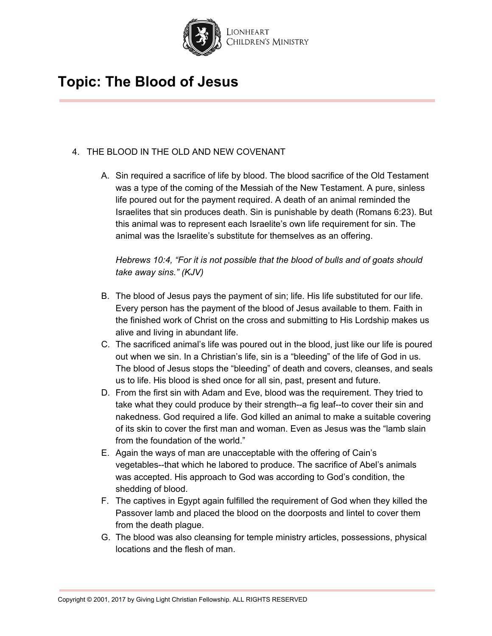

### 4. THE BLOOD IN THE OLD AND NEW COVENANT

A. Sin required a sacrifice of life by blood. The blood sacrifice of the Old Testament was a type of the coming of the Messiah of the New Testament. A pure, sinless life poured out for the payment required. A death of an animal reminded the Israelites that sin produces death. Sin is punishable by death (Romans 6:23). But this animal was to represent each Israelite's own life requirement for sin. The animal was the Israelite's substitute for themselves as an offering.

*Hebrews 10:4, "For it is not possible that the blood of bulls and of goats should take away sins." (KJV)*

- B. The blood of Jesus pays the payment of sin; life. His life substituted for our life. Every person has the payment of the blood of Jesus available to them. Faith in the finished work of Christ on the cross and submitting to His Lordship makes us alive and living in abundant life.
- C. The sacrificed animal's life was poured out in the blood, just like our life is poured out when we sin. In a Christian's life, sin is a "bleeding" of the life of God in us. The blood of Jesus stops the "bleeding" of death and covers, cleanses, and seals us to life. His blood is shed once for all sin, past, present and future.
- D. From the first sin with Adam and Eve, blood was the requirement. They tried to take what they could produce by their strength--a fig leaf--to cover their sin and nakedness. God required a life. God killed an animal to make a suitable covering of its skin to cover the first man and woman. Even as Jesus was the "lamb slain from the foundation of the world."
- E. Again the ways of man are unacceptable with the offering of Cain's vegetables--that which he labored to produce. The sacrifice of Abel's animals was accepted. His approach to God was according to God's condition, the shedding of blood.
- F. The captives in Egypt again fulfilled the requirement of God when they killed the Passover lamb and placed the blood on the doorposts and lintel to cover them from the death plague.
- G. The blood was also cleansing for temple ministry articles, possessions, physical locations and the flesh of man.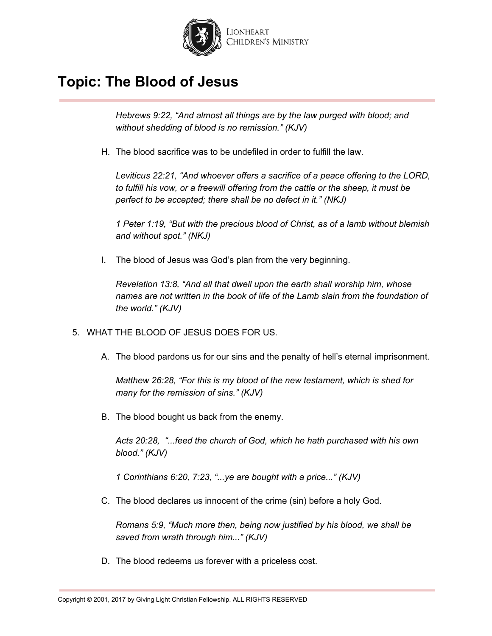

*Hebrews 9:22, "And almost all things are by the law purged with blood; and without shedding of blood is no remission." (KJV)*

H. The blood sacrifice was to be undefiled in order to fulfill the law.

*Leviticus 22:21, "And whoever offers a sacrifice of a peace offering to the LORD, to fulfill his vow, or a freewill offering from the cattle or the sheep, it must be perfect to be accepted; there shall be no defect in it." (NKJ)*

*1 Peter 1:19, "But with the precious blood of Christ, as of a lamb without blemish and without spot." (NKJ)*

I. The blood of Jesus was God's plan from the very beginning.

*Revelation 13:8, "And all that dwell upon the earth shall worship him, whose names are not written in the book of life of the Lamb slain from the foundation of the world." (KJV)*

- 5. WHAT THE BLOOD OF JESUS DOES FOR US.
	- A. The blood pardons us for our sins and the penalty of hell's eternal imprisonment.

*Matthew 26:28, "For this is my blood of the new testament, which is shed for many for the remission of sins." (KJV)*

B. The blood bought us back from the enemy.

*Acts 20:28, "...feed the church of God, which he hath purchased with his own blood." (KJV)*

*1 Corinthians 6:20, 7:23, "...ye are bought with a price..." (KJV)*

C. The blood declares us innocent of the crime (sin) before a holy God.

*Romans 5:9, "Much more then, being now justified by his blood, we shall be saved from wrath through him..." (KJV)*

D. The blood redeems us forever with a priceless cost.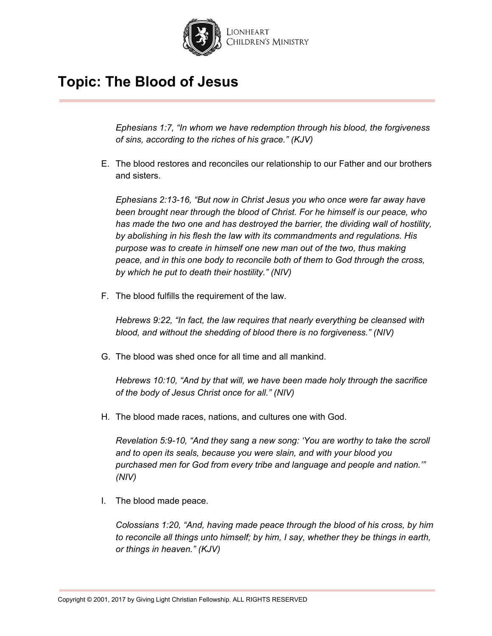

*Ephesians 1:7, "In whom we have redemption through his blood, the forgiveness of sins, according to the riches of his grace." (KJV)*

E. The blood restores and reconciles our relationship to our Father and our brothers and sisters.

*Ephesians 2:13-16, "But now in Christ Jesus you who once were far away have been brought near through the blood of Christ. For he himself is our peace, who has made the two one and has destroyed the barrier, the dividing wall of hostility, by abolishing in his flesh the law with its commandments and regulations. His purpose was to create in himself one new man out of the two, thus making peace, and in this one body to r econcile both of them to God through the cross, by which he put to death their hostility." (NIV)*

F. The blood fulfills the requirement of the law.

*Hebrews 9:22, "In fact, the law requires that nearly everything be cleansed with blood, and without the shedding of blood there is no f orgiveness." (NIV)*

G. The blood was shed once for all time and all mankind.

*Hebrews 10:10, "And by that will, we have been made holy through the sacrifice of the body of Jesus Christ once for all." (NIV)*

H. The blood made races, nations, and cultures one with God.

*Revelation 5:9-10, "And they sang a new song: 'You are worthy to take the scroll and to open its seals, because you were slain, and with your blood you purchased men for God from every tribe and language and people and nation.'" (NIV)*

I. The blood made peace.

*Colossians 1:20, "And, having made peace through the blood of his cross, by him to reconcile all things unto himself; by him, I say, whether they be things in earth, or things in heaven." (KJV)*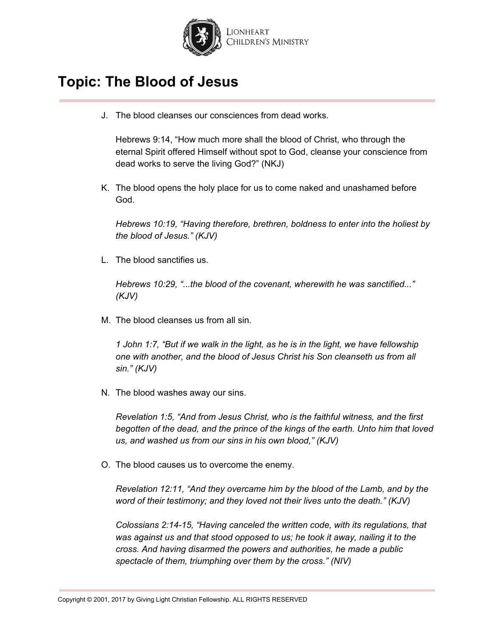

J. The blood cleanses our consciences from dead works.

Hebrews 9:14, "How much more shall the blood of Christ, who through the eternal Spirit offered Himself without spot to God, cleanse your conscience from dead works to serve the living God?" (NKJ)

K. The blood opens the holy place for us to come naked and unashamed before God.

*Hebrews 10:19, "Having therefore, brethren, boldness to enter into the holiest by the blood of Jesus." (KJV)*

L. The blood sanctifies us.

*Hebrews 10:29, "...the blood of the covenant, wherewith he was sanctified..." (KJV)*

M. The blood cleanses us from all sin.

*1 John 1:7, "But if we walk in the light, as he is in the light, we have fellowship one with another, and the blood of Jesus Christ his Son cleanseth us from all sin." (KJV)*

N. The blood washes away our sins.

*Revelation 1:5, "And from Jesus Christ, who is the faithful witness, and the first begotten of the dead, and the prince of the kings of the earth. Unto him that loved us, and washed us from our sins in his own blood," (KJV)*

O. The blood causes us to overcome the enemy.

*Revelation 12:11, "And they overcame him by the blood of the Lamb, and by the word of their testimony; and they loved not their lives unto the death." (KJV)*

*Colossians 2:14-15, "Having canceled the written code, with its regulations, that was against us and that stood opposed to us; he took it away, nailing it to the cross. And having disarmed the powers and authorities, he made a public spectacle of them, triumphing over them by the cross." (NIV)*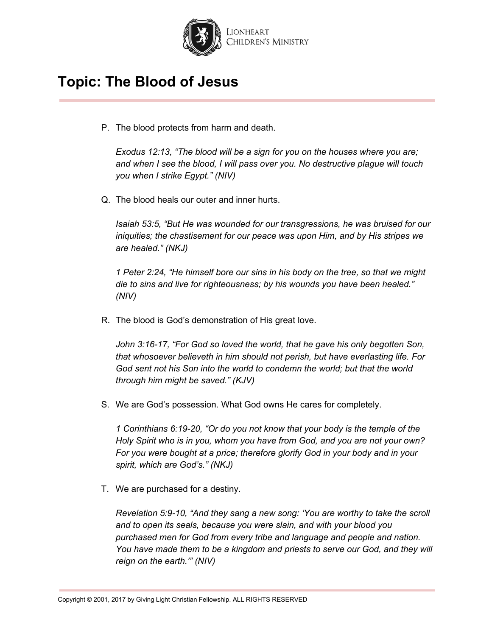

P. The blood protects from harm and death.

*Exodus 12:13, "The blood will be a sign for you on the houses where you are; and when I see the blood, I will pass over you. No destructive plague will touch you when I strike Egypt." (NIV)*

Q. The blood heals our outer and inner hurts.

*Isaiah 53:5, "But He was wounded for our transgressions, he was bruised for our iniquities; the chastisement for our peace was upon Him, and by His stripes we are healed." (NKJ)*

*1 Peter 2:24, "He himself bore our sins in his body on the tree, so that we might die to sins and live for righteousness; by his wounds you have been healed." (NIV)*

R. The blood is God's demonstration of His great love.

*John 3:16-17, "For God so loved the world, that he gave his only begotten Son, that whosoever believeth in him should not perish, but have everlasting life. For God sent not his Son into the world to condemn the world; but that the world through him might be saved." (KJV)*

S. We are God's possession. What God owns He cares for completely.

*1 Corinthians 6:19-20, "Or do you not know that your body is the temple of the Holy Spirit who is in you, whom you have from God, and you are not your own? For you were bought at a price; therefore glorify God in your body and in your spirit, which are God's." (NKJ)*

T. We are purchased for a destiny.

*Revelation 5:9-10, "And they sang a new song: 'You are worthy to take the scroll and to open its seals, because you were slain, and with your blood you purchased men for God from every tribe and language and people and nation. You have made them to be a kingdom and priests to serve our God, and they will reign on the earth.'" (NIV)*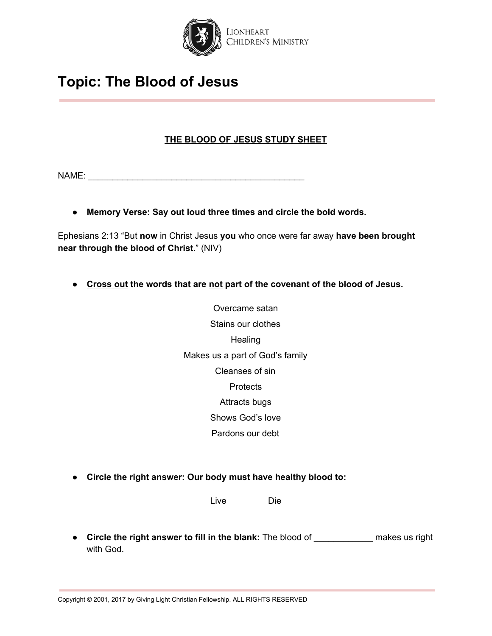

### **THE BLOOD OF JESUS STUDY SHEET**

NAME: \_\_\_\_\_\_\_\_\_\_\_\_\_\_\_\_\_\_\_\_\_\_\_\_\_\_\_\_\_\_\_\_\_\_\_\_\_\_\_\_\_\_\_\_

**● Memory Verse: Say out loud three times and circle the bold words.**

Ephesians 2:13 "But **now** in Christ Jesus **you** who once were far away **have been brought near through the blood of Christ**." (NIV)

- **● Cross out the words that are not part of the covenant of the blood of Jesus.**
	- Overcame satan Stains our clothes **Healing** Makes us a part of God's family Cleanses of sin **Protects** Attracts bugs Shows God's love Pardons our debt
- **Circle the right answer: Our body must have healthy blood to:**

Live Die

**● Circle the right answer to fill in the blank:** The blood of \_\_\_\_\_\_\_\_\_\_\_\_ makes us right with God.